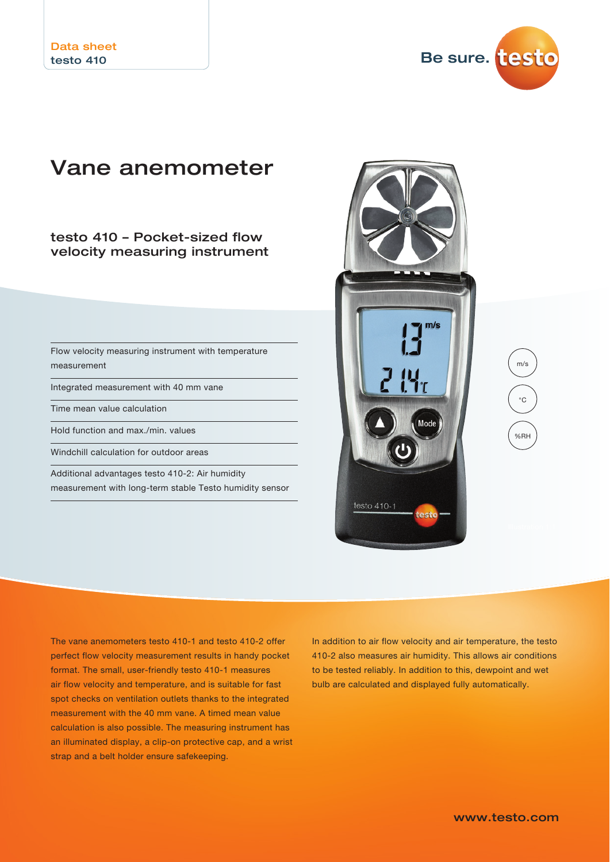Be sure. testo

# Vane anemometer

testo 410 – Pocket-sized flow velocity measuring instrument

Flow velocity measuring instrument with temperature measurement

Integrated measurement with 40 mm vane

Time mean value calculation

Hold function and max./min. values

Windchill calculation for outdoor areas

Additional advantages testo 410-2: Air humidity measurement with long-term stable Testo humidity sensor



The vane anemometers testo 410-1 and testo 410-2 offer perfect flow velocity measurement results in handy pocket format. The small, user-friendly testo 410-1 measures air flow velocity and temperature, and is suitable for fast spot checks on ventilation outlets thanks to the integrated measurement with the 40 mm vane. A timed mean value calculation is also possible. The measuring instrument has an illuminated display, a clip-on protective cap, and a wrist strap and a belt holder ensure safekeeping.

In addition to air flow velocity and air temperature, the testo 410-2 also measures air humidity. This allows air conditions to be tested reliably. In addition to this, dewpoint and wet bulb are calculated and displayed fully automatically.